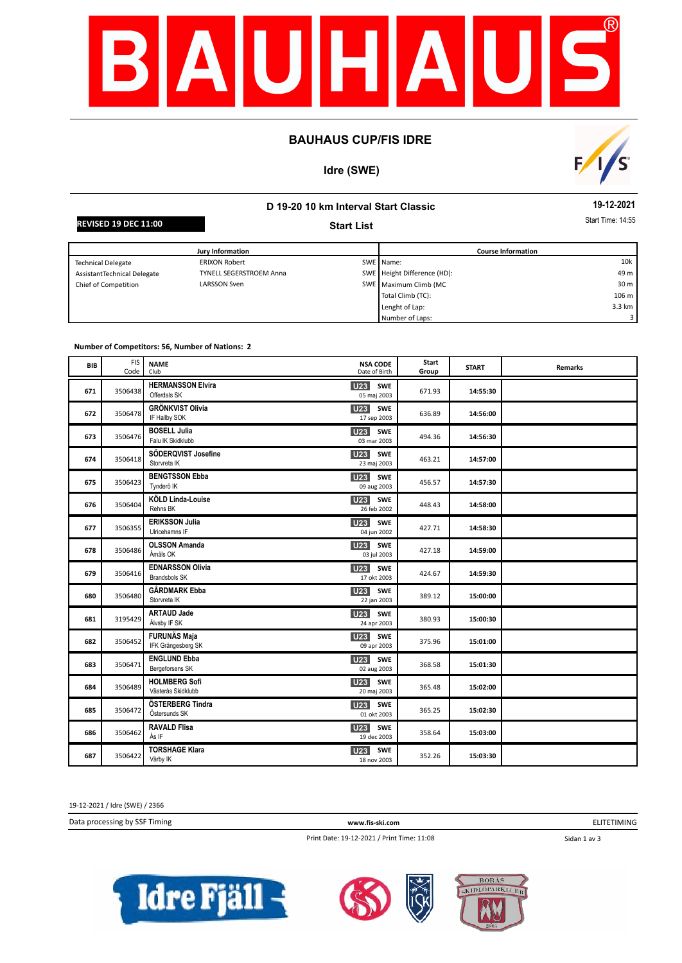

#### **BAUHAUS CUP/FIS IDRE**

## **Idre (SWE)**



# **D 19-20 10 km Interval Start Classic Start List**

**19-12-2021**

**REVISED 19 DEC 11:00** Start **Contract Time: 14:55** 

| <b>Jury Information</b>     |                                |  | <b>Course Information</b>   |                 |  |
|-----------------------------|--------------------------------|--|-----------------------------|-----------------|--|
| <b>Technical Delegate</b>   | <b>ERIXON Robert</b>           |  | SWE Name:                   | 10k             |  |
| AssistantTechnical Delegate | <b>TYNELL SEGERSTROEM Anna</b> |  | SWE Height Difference (HD): | 49 m            |  |
| Chief of Competition        | LARSSON Sven                   |  | SWE Maximum Climb (MC       | 30 <sub>m</sub> |  |
|                             |                                |  | Total Climb (TC):           | 106 m           |  |
|                             |                                |  | Lenght of Lap:              | 3.3 km          |  |
|                             |                                |  | Number of Laps:             |                 |  |

#### **Number of Competitors: 56, Number of Nations: 2**

| BIB | <b>FIS</b><br>Code | <b>NAME</b><br>Club                                          | <b>NSA CODE</b><br>Date of Birth | Start<br>Group | <b>START</b> | <b>Remarks</b> |
|-----|--------------------|--------------------------------------------------------------|----------------------------------|----------------|--------------|----------------|
| 671 | 3506438            | <b>HERMANSSON Elvira</b><br><b>U23</b><br>Offerdals SK       | <b>SWE</b><br>05 maj 2003        | 671.93         | 14:55:30     |                |
| 672 | 3506478            | <b>GRÖNKVIST Olivia</b><br><b>U23</b><br>IF Hallby SOK       | SWE<br>17 sep 2003               | 636.89         | 14:56:00     |                |
| 673 | 3506476            | <b>BOSELL Julia</b><br>U23<br>Falu IK Skidklubb              | SWE<br>03 mar 2003               | 494.36         | 14:56:30     |                |
| 674 | 3506418            | SÖDERQVIST Josefine<br>U <sub>23</sub> SWE<br>Storvreta IK   | 23 maj 2003                      | 463.21         | 14:57:00     |                |
| 675 | 3506423            | <b>BENGTSSON Ebba</b><br><b>U23</b><br>Tynderö IK            | SWE<br>09 aug 2003               | 456.57         | 14:57:30     |                |
| 676 | 3506404            | KÖLD Linda-Louise<br>U23<br>Rehns BK                         | <b>SWE</b><br>26 feb 2002        | 448.43         | 14:58:00     |                |
| 677 | 3506355            | <b>ERIKSSON Julia</b><br>U23<br>Ulricehamns IF               | <b>SWE</b><br>04 jun 2002        | 427.71         | 14:58:30     |                |
| 678 | 3506486            | <b>OLSSON Amanda</b><br>U23<br>Åmåls OK                      | SWE<br>03 jul 2003               | 427.18         | 14:59:00     |                |
| 679 | 3506416            | <b>EDNARSSON Olivia</b><br>U23<br><b>Brandsbols SK</b>       | SWE<br>17 okt 2003               | 424.67         | 14:59:30     |                |
| 680 | 3506480            | <b>GÅRDMARK Ebba</b><br>U23<br>Storvreta IK                  | <b>SWE</b><br>22 jan 2003        | 389.12         | 15:00:00     |                |
| 681 | 3195429            | <b>ARTAUD Jade</b><br>U <sub>23</sub><br>Älvsby IF SK        | SWE<br>24 apr 2003               | 380.93         | 15:00:30     |                |
| 682 | 3506452            | <b>FURUNÄS Maja</b><br>U <sub>23</sub><br>IFK Grängesberg SK | SWE<br>09 apr 2003               | 375.96         | 15:01:00     |                |
| 683 | 3506471            | <b>ENGLUND Ebba</b><br>U <sub>23</sub><br>Bergeforsens SK    | <b>SWE</b><br>02 aug 2003        | 368.58         | 15:01:30     |                |
| 684 | 3506489            | <b>HOLMBERG Sofi</b><br><b>U23</b><br>Västerås Skidklubb     | SWE<br>20 maj 2003               | 365.48         | 15:02:00     |                |
| 685 | 3506472            | ÖSTERBERG Tindra<br><b>U23</b><br>Östersunds SK              | SWE<br>01 okt 2003               | 365.25         | 15:02:30     |                |
| 686 | 3506462            | <b>RAVALD Flisa</b><br>U23<br>Ås IF                          | SWE<br>19 dec 2003               | 358.64         | 15:03:00     |                |
| 687 | 3506422            | <b>TORSHAGE Klara</b><br><b>U23</b><br>Vårby IK              | SWE<br>18 nov 2003               | 352.26         | 15:03:30     |                |

19-12-2021 / Idre (SWE) / 2366

Data processing by SSF Timing **www.fis-ski.com**

ELITETIMING

Print Date: 19-12-2021 / Print Time: 11:08

Sidan 1 av 3





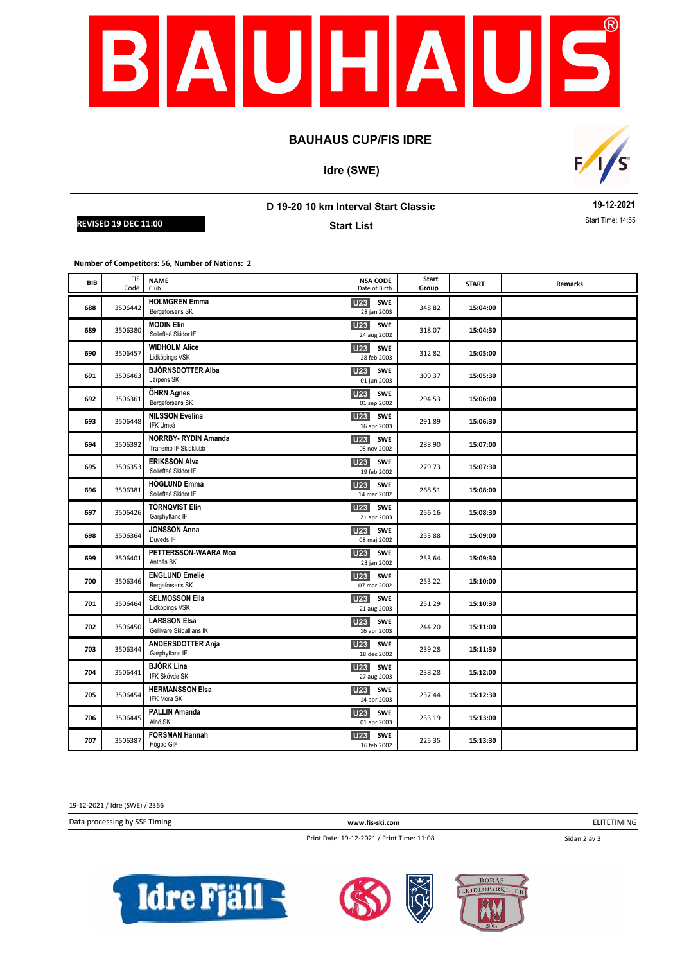

### **BAUHAUS CUP/FIS IDRE**

**Idre (SWE)**



# **D 19-20 10 km Interval Start Classic**

**REVISED 19 DEC 11:00** Start **Contract Time: 14:55** 

**Start List**

**19-12-2021**

**Number of Competitors: 56, Number of Nations: 2**

| BIB | <b>FIS</b><br>Code | <b>NAME</b><br>Club                                | <b>NSA CODE</b><br>Date of Birth             | Start<br>Group | <b>START</b> | <b>Remarks</b> |
|-----|--------------------|----------------------------------------------------|----------------------------------------------|----------------|--------------|----------------|
| 688 | 3506442            | <b>HOLMGREN Emma</b><br>Bergeforsens SK            | <b>U23</b><br><b>SWE</b><br>28 jan 2003      | 348.82         | 15:04:00     |                |
| 689 | 3506380            | <b>MODIN Elin</b><br>Sollefteå Skidor IF           | <b>U23</b><br><b>SWE</b><br>24 aug 2002      | 318.07         | 15:04:30     |                |
| 690 | 3506457            | <b>WIDHOLM Alice</b><br>Lidköpings VSK             | U23 SWE<br>28 feb 2003                       | 312.82         | 15:05:00     |                |
| 691 | 3506463            | <b>BJÖRNSDOTTER Alba</b><br>Järpens SK             | U <sub>23</sub><br><b>SWE</b><br>01 jun 2003 | 309.37         | 15:05:30     |                |
| 692 | 3506361            | ÖHRN Agnes<br>Bergeforsens SK                      | U23 SWE<br>01 sep 2002                       | 294.53         | 15:06:00     |                |
| 693 | 3506448            | <b>NILSSON Evelina</b><br>IFK Umeå                 | U23<br><b>SWE</b><br>16 apr 2003             | 291.89         | 15:06:30     |                |
| 694 | 3506392            | <b>NORRBY-RYDIN Amanda</b><br>Tranemo IF Skidklubb | <b>U23</b><br><b>SWE</b><br>08 nov 2002      | 288.90         | 15:07:00     |                |
| 695 | 3506353            | <b>ERIKSSON Alva</b><br>Sollefteå Skidor IF        | <b>U23</b><br><b>SWE</b><br>19 feb 2002      | 279.73         | 15:07:30     |                |
| 696 | 3506381            | <b>HÖGLUND Emma</b><br>Sollefteå Skidor IF         | U23<br><b>SWE</b><br>14 mar 2002             | 268.51         | 15:08:00     |                |
| 697 | 3506426            | <b>TÖRNQVIST Elin</b><br>Garphyttans IF            | <b>SWE</b><br>U23<br>21 apr 2003             | 256.16         | 15:08:30     |                |
| 698 | 3506364            | <b>JONSSON Anna</b><br>Duveds IF                   | U23<br><b>SWE</b><br>08 maj 2002             | 253.88         | 15:09:00     |                |
| 699 | 3506401            | PETTERSSON-WAARA Moa<br>Antnäs BK                  | U23 SWE<br>23 jan 2002                       | 253.64         | 15:09:30     |                |
| 700 | 3506346            | <b>ENGLUND Emelie</b><br>Bergeforsens SK           | U <sub>23</sub><br>SWE<br>07 mar 2002        | 253.22         | 15:10:00     |                |
| 701 | 3506464            | <b>SELMOSSON Ella</b><br>Lidköpings VSK            | U23<br><b>SWE</b><br>21 aug 2003             | 251.29         | 15:10:30     |                |
| 702 | 3506450            | <b>LARSSON Elsa</b><br>Gellivare Skidallians IK    | <b>U23</b><br><b>SWE</b><br>16 apr 2003      | 244.20         | 15:11:00     |                |
| 703 | 3506344            | <b>ANDERSDOTTER Anja</b><br>Garphyttans IF         | U <sub>23</sub><br><b>SWE</b><br>18 dec 2002 | 239.28         | 15:11:30     |                |
| 704 | 3506441            | <b>BJÖRK Lina</b><br>IFK Skövde SK                 | U <sub>23</sub><br><b>SWE</b><br>27 aug 2003 | 238.28         | 15:12:00     |                |
| 705 | 3506454            | <b>HERMANSSON Elsa</b><br><b>IFK Mora SK</b>       | U <sub>23</sub><br><b>SWE</b><br>14 apr 2003 | 237.44         | 15:12:30     |                |
| 706 | 3506445            | <b>PALLIN Amanda</b><br>Alnö SK                    | U23 SWE<br>01 apr 2003                       | 233.19         | 15:13:00     |                |
| 707 | 3506387            | <b>FORSMAN Hannah</b><br>Högbo GIF                 | <b>U23</b><br><b>SWE</b><br>16 feb 2002      | 225.35         | 15:13:30     |                |

19-12-2021 / Idre (SWE) / 2366

Data processing by SSF Timing **www.fis-ski.com**

ELITETIMING

Print Date: 19-12-2021 / Print Time: 11:08

Sidan 2 av 3